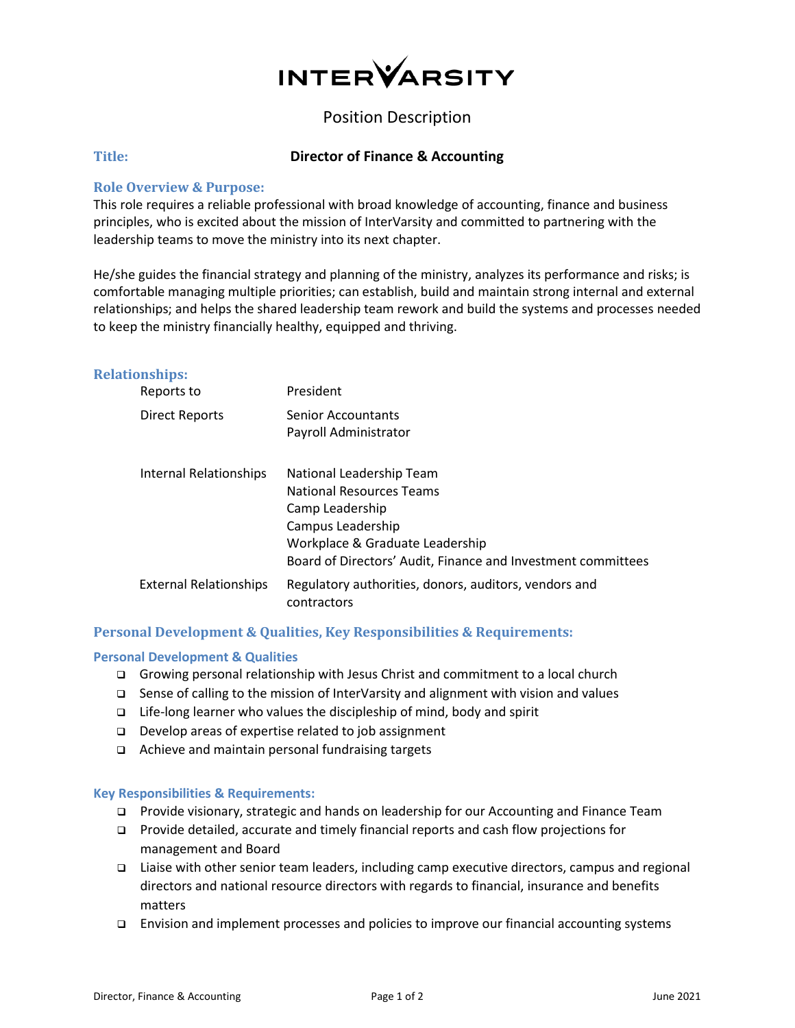

# Position Description

# **Title: Director of Finance & Accounting**

# **Role Overview & Purpose:**

This role requires a reliable professional with broad knowledge of accounting, finance and business principles, who is excited about the mission of InterVarsity and committed to partnering with the leadership teams to move the ministry into its next chapter.

He/she guides the financial strategy and planning of the ministry, analyzes its performance and risks; is comfortable managing multiple priorities; can establish, build and maintain strong internal and external relationships; and helps the shared leadership team rework and build the systems and processes needed to keep the ministry financially healthy, equipped and thriving.

## **Relationships:**

| Reports to                    | President                                                                                                                                                                                              |
|-------------------------------|--------------------------------------------------------------------------------------------------------------------------------------------------------------------------------------------------------|
| Direct Reports                | <b>Senior Accountants</b><br>Payroll Administrator                                                                                                                                                     |
| <b>Internal Relationships</b> | National Leadership Team<br><b>National Resources Teams</b><br>Camp Leadership<br>Campus Leadership<br>Workplace & Graduate Leadership<br>Board of Directors' Audit, Finance and Investment committees |
| <b>External Relationships</b> | Regulatory authorities, donors, auditors, vendors and<br>contractors                                                                                                                                   |

# **Personal Development & Qualities, Key Responsibilities & Requirements:**

#### **Personal Development & Qualities**

- Growing personal relationship with Jesus Christ and commitment to a local church
- $\square$  Sense of calling to the mission of InterVarsity and alignment with vision and values
- $\Box$  Life-long learner who values the discipleship of mind, body and spirit
- Develop areas of expertise related to job assignment
- Achieve and maintain personal fundraising targets

#### **Key Responsibilities & Requirements:**

- Provide visionary, strategic and hands on leadership for our Accounting and Finance Team
- Provide detailed, accurate and timely financial reports and cash flow projections for management and Board
- Liaise with other senior team leaders, including camp executive directors, campus and regional directors and national resource directors with regards to financial, insurance and benefits matters
- Envision and implement processes and policies to improve our financial accounting systems